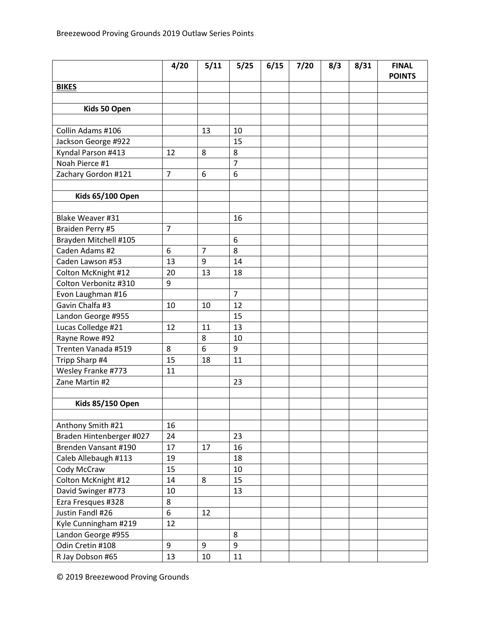|                          | 4/20           | 5/11           | 5/25           | 6/15 | 7/20 | 8/3 | 8/31 | <b>FINAL</b><br><b>POINTS</b> |
|--------------------------|----------------|----------------|----------------|------|------|-----|------|-------------------------------|
| <b>BIKES</b>             |                |                |                |      |      |     |      |                               |
|                          |                |                |                |      |      |     |      |                               |
| Kids 50 Open             |                |                |                |      |      |     |      |                               |
|                          |                |                |                |      |      |     |      |                               |
| Collin Adams #106        |                | 13             | 10             |      |      |     |      |                               |
| Jackson George #922      |                |                | 15             |      |      |     |      |                               |
| Kyndal Parson #413       | 12             | 8              | 8              |      |      |     |      |                               |
| Noah Pierce #1           |                |                | $\overline{7}$ |      |      |     |      |                               |
| Zachary Gordon #121      | $\overline{7}$ | 6              | 6              |      |      |     |      |                               |
|                          |                |                |                |      |      |     |      |                               |
| <b>Kids 65/100 Open</b>  |                |                |                |      |      |     |      |                               |
|                          |                |                |                |      |      |     |      |                               |
| Blake Weaver #31         |                |                | 16             |      |      |     |      |                               |
| Braiden Perry #5         | $\overline{7}$ |                |                |      |      |     |      |                               |
| Brayden Mitchell #105    |                |                | 6              |      |      |     |      |                               |
| Caden Adams #2           | 6              | $\overline{7}$ | 8              |      |      |     |      |                               |
| Caden Lawson #53         | 13             | 9              | 14             |      |      |     |      |                               |
| Colton McKnight #12      | 20             | 13             | 18             |      |      |     |      |                               |
| Colton Verbonitz #310    | 9              |                |                |      |      |     |      |                               |
| Evon Laughman #16        |                |                | $\overline{7}$ |      |      |     |      |                               |
| Gavin Chalfa #3          | 10             | 10             | 12             |      |      |     |      |                               |
| Landon George #955       |                |                | 15             |      |      |     |      |                               |
| Lucas Colledge #21       | 12             | 11             | 13             |      |      |     |      |                               |
| Rayne Rowe #92           |                | 8              | 10             |      |      |     |      |                               |
| Trenten Vanada #519      | 8              | 6              | 9              |      |      |     |      |                               |
| Tripp Sharp #4           | 15             | 18             | 11             |      |      |     |      |                               |
| Wesley Franke #773       | 11             |                |                |      |      |     |      |                               |
| Zane Martin #2           |                |                | 23             |      |      |     |      |                               |
|                          |                |                |                |      |      |     |      |                               |
| <b>Kids 85/150 Open</b>  |                |                |                |      |      |     |      |                               |
|                          |                |                |                |      |      |     |      |                               |
| Anthony Smith #21        | 16             |                |                |      |      |     |      |                               |
| Braden Hintenberger #027 | 24             |                | 23             |      |      |     |      |                               |
| Brenden Vansant #190     | 17             | 17             | 16             |      |      |     |      |                               |
| Caleb Allebaugh #113     | 19             |                | 18             |      |      |     |      |                               |
| Cody McCraw              | 15             |                | 10             |      |      |     |      |                               |
| Colton McKnight #12      | 14             | 8              | 15             |      |      |     |      |                               |
| David Swinger #773       | 10             |                | 13             |      |      |     |      |                               |
| Ezra Fresques #328       | 8              |                |                |      |      |     |      |                               |
| Justin Fandl #26         | 6              | 12             |                |      |      |     |      |                               |
| Kyle Cunningham #219     | 12             |                |                |      |      |     |      |                               |
| Landon George #955       |                |                | 8              |      |      |     |      |                               |
| Odin Cretin #108         | 9              | 9              | 9              |      |      |     |      |                               |
| R Jay Dobson #65         | 13             | 10             | 11             |      |      |     |      |                               |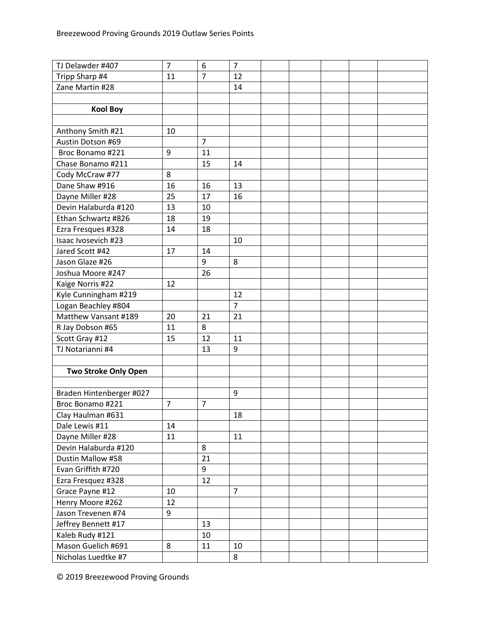| TJ Delawder #407            | $\overline{7}$ | 6              | $\overline{7}$ |  |  |  |
|-----------------------------|----------------|----------------|----------------|--|--|--|
| Tripp Sharp #4              | 11             | 7              | 12             |  |  |  |
| Zane Martin #28             |                |                | 14             |  |  |  |
|                             |                |                |                |  |  |  |
| <b>Kool Boy</b>             |                |                |                |  |  |  |
|                             |                |                |                |  |  |  |
| Anthony Smith #21           | 10             |                |                |  |  |  |
| Austin Dotson #69           |                | $\overline{7}$ |                |  |  |  |
| Broc Bonamo #221            | 9              | 11             |                |  |  |  |
| Chase Bonamo #211           |                | 15             | 14             |  |  |  |
| Cody McCraw #77             | 8              |                |                |  |  |  |
| Dane Shaw #916              | 16             | 16             | 13             |  |  |  |
| Dayne Miller #28            | 25             | 17             | 16             |  |  |  |
| Devin Halaburda #120        | 13             | 10             |                |  |  |  |
| Ethan Schwartz #826         | 18             | 19             |                |  |  |  |
| Ezra Fresques #328          | 14             | 18             |                |  |  |  |
| Isaac Ivosevich #23         |                |                | 10             |  |  |  |
| Jared Scott #42             | 17             | 14             |                |  |  |  |
| Jason Glaze #26             |                | 9              | 8              |  |  |  |
| Joshua Moore #247           |                | 26             |                |  |  |  |
| Kaige Norris #22            | 12             |                |                |  |  |  |
| Kyle Cunningham #219        |                |                | 12             |  |  |  |
| Logan Beachley #804         |                |                | $\overline{7}$ |  |  |  |
| Matthew Vansant #189        | 20             | 21             | 21             |  |  |  |
| R Jay Dobson #65            | 11             | 8              |                |  |  |  |
| Scott Gray #12              | 15             | 12             | 11             |  |  |  |
| TJ Notarianni #4            |                | 13             | 9              |  |  |  |
|                             |                |                |                |  |  |  |
| <b>Two Stroke Only Open</b> |                |                |                |  |  |  |
|                             |                |                |                |  |  |  |
| Braden Hintenberger #027    |                |                | 9              |  |  |  |
| Broc Bonamo #221            | 7              | $\overline{7}$ |                |  |  |  |
| Clay Haulman #631           |                |                | 18             |  |  |  |
| Dale Lewis #11              | 14             |                |                |  |  |  |
| Dayne Miller #28            | 11             |                | 11             |  |  |  |
| Devin Halaburda #120        |                | 8              |                |  |  |  |
| Dustin Mallow #58           |                | 21             |                |  |  |  |
| Evan Griffith #720          |                | 9              |                |  |  |  |
| Ezra Fresquez #328          |                | 12             |                |  |  |  |
| Grace Payne #12             | 10             |                | $\overline{7}$ |  |  |  |
| Henry Moore #262            | 12             |                |                |  |  |  |
| Jason Trevenen #74          | 9              |                |                |  |  |  |
| Jeffrey Bennett #17         |                | 13             |                |  |  |  |
| Kaleb Rudy #121             |                | 10             |                |  |  |  |
| Mason Guelich #691          | 8              | 11             | 10             |  |  |  |
| Nicholas Luedtke #7         |                |                | 8              |  |  |  |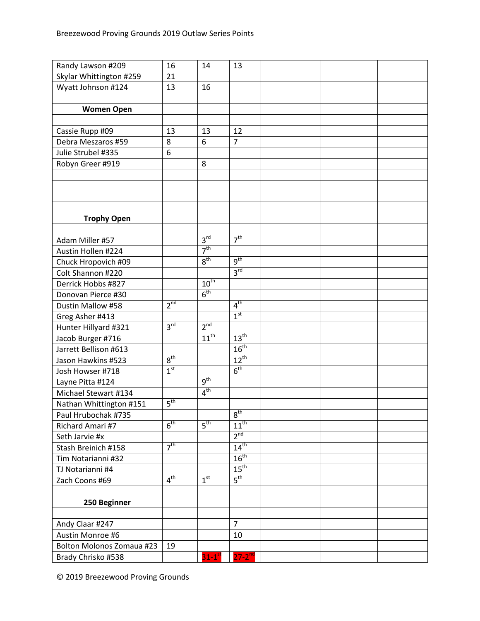| Randy Lawson #209                | 16              | 14                   | 13               |  |  |  |
|----------------------------------|-----------------|----------------------|------------------|--|--|--|
| Skylar Whittington #259          | 21              |                      |                  |  |  |  |
| Wyatt Johnson #124               | 13              | 16                   |                  |  |  |  |
|                                  |                 |                      |                  |  |  |  |
| <b>Women Open</b>                |                 |                      |                  |  |  |  |
|                                  |                 |                      |                  |  |  |  |
| Cassie Rupp #09                  | 13              | 13                   | 12               |  |  |  |
| Debra Meszaros #59               | 8               | 6                    | $\overline{7}$   |  |  |  |
| Julie Strubel #335               | 6               |                      |                  |  |  |  |
| Robyn Greer #919                 |                 | 8                    |                  |  |  |  |
|                                  |                 |                      |                  |  |  |  |
|                                  |                 |                      |                  |  |  |  |
|                                  |                 |                      |                  |  |  |  |
|                                  |                 |                      |                  |  |  |  |
| <b>Trophy Open</b>               |                 |                      |                  |  |  |  |
|                                  |                 |                      |                  |  |  |  |
| Adam Miller #57                  |                 | 3 <sup>rd</sup>      | 7 <sup>th</sup>  |  |  |  |
| Austin Hollen #224               |                 | 7 <sup>th</sup>      |                  |  |  |  |
| Chuck Hropovich #09              |                 | 8 <sup>th</sup>      | $9^{\text{th}}$  |  |  |  |
| Colt Shannon #220                |                 |                      | 3 <sup>rd</sup>  |  |  |  |
| Derrick Hobbs #827               |                 | $10^{\text{th}}$     |                  |  |  |  |
| Donovan Pierce #30               |                 | 6 <sup>th</sup>      |                  |  |  |  |
| Dustin Mallow #58                | 2 <sup>nd</sup> |                      | 4 <sup>th</sup>  |  |  |  |
| Greg Asher #413                  |                 |                      | 1 <sup>st</sup>  |  |  |  |
| Hunter Hillyard #321             | 3 <sup>rd</sup> | 2 <sup>nd</sup>      |                  |  |  |  |
| Jacob Burger #716                |                 | $11^{th}$            | 13 <sup>th</sup> |  |  |  |
| Jarrett Bellison #613            |                 |                      | 16 <sup>th</sup> |  |  |  |
| Jason Hawkins #523               | 8 <sup>th</sup> |                      | $12^{th}$        |  |  |  |
| Josh Howser #718                 | 1 <sup>st</sup> |                      | 6 <sup>th</sup>  |  |  |  |
| Layne Pitta #124                 |                 | 9 <sup>th</sup>      |                  |  |  |  |
| Michael Stewart #134             |                 | 4 <sup>th</sup>      |                  |  |  |  |
| Nathan Whittington #151          | 5 <sup>th</sup> |                      |                  |  |  |  |
| Paul Hrubochak #735              |                 |                      | 8 <sup>th</sup>  |  |  |  |
| Richard Amari #7                 | $6^{\text{th}}$ | $5^{\text{th}}$      | $11^{\text{th}}$ |  |  |  |
| Seth Jarvie #x                   |                 |                      | 2 <sup>nd</sup>  |  |  |  |
| Stash Breinich #158              | 7 <sup>th</sup> |                      | $14^{\text{th}}$ |  |  |  |
| Tim Notarianni #32               |                 |                      | 16 <sup>th</sup> |  |  |  |
| TJ Notarianni #4                 |                 |                      | $15^{\text{th}}$ |  |  |  |
| Zach Coons #69                   | 4 <sup>th</sup> | 1 <sup>st</sup>      | $5^{\text{th}}$  |  |  |  |
|                                  |                 |                      |                  |  |  |  |
| 250 Beginner                     |                 |                      |                  |  |  |  |
|                                  |                 |                      |                  |  |  |  |
| Andy Claar #247                  |                 |                      | $\overline{7}$   |  |  |  |
| Austin Monroe #6                 |                 |                      | 10               |  |  |  |
| <b>Bolton Molonos Zomaua #23</b> | 19              |                      |                  |  |  |  |
| Brady Chrisko #538               |                 | $31-1$ <sup>st</sup> | $27 - 2^{nd}$    |  |  |  |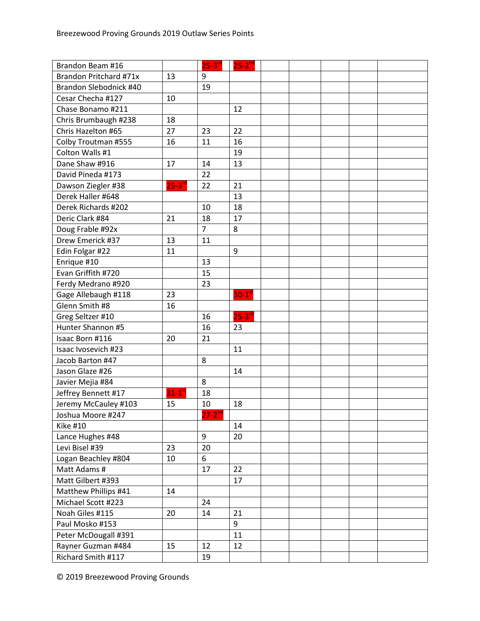| Brandon Beam #16       |                      | $25-3rd$       | $25 - 2^{nd}$        |  |  |  |
|------------------------|----------------------|----------------|----------------------|--|--|--|
| Brandon Pritchard #71x | 13                   | 9              |                      |  |  |  |
| Brandon Slebodnick #40 |                      | 19             |                      |  |  |  |
| Cesar Checha #127      | 10                   |                |                      |  |  |  |
| Chase Bonamo #211      |                      |                | 12                   |  |  |  |
| Chris Brumbaugh #238   | 18                   |                |                      |  |  |  |
| Chris Hazelton #65     | 27                   | 23             | 22                   |  |  |  |
| Colby Troutman #555    | 16                   | 11             | 16                   |  |  |  |
| Colton Walls #1        |                      |                | 19                   |  |  |  |
| Dane Shaw #916         | 17                   | 14             | 13                   |  |  |  |
| David Pineda #173      |                      | 22             |                      |  |  |  |
| Dawson Ziegler #38     | $25 - 3^{rd}$        | 22             | 21                   |  |  |  |
| Derek Haller #648      |                      |                | 13                   |  |  |  |
| Derek Richards #202    |                      | 10             | 18                   |  |  |  |
| Deric Clark #84        | 21                   | 18             | 17                   |  |  |  |
| Doug Frable #92x       |                      | $\overline{7}$ | 8                    |  |  |  |
| Drew Emerick #37       | 13                   | 11             |                      |  |  |  |
| Edin Folgar #22        | 11                   |                | 9                    |  |  |  |
| Enrique #10            |                      | 13             |                      |  |  |  |
| Evan Griffith #720     |                      | 15             |                      |  |  |  |
| Ferdy Medrano #920     |                      | 23             |                      |  |  |  |
| Gage Allebaugh #118    | 23                   |                | $30-1$ <sup>s</sup>  |  |  |  |
| Glenn Smith #8         | 16                   |                |                      |  |  |  |
| Greg Seltzer #10       |                      | 16             | $25-3$ <sup>rd</sup> |  |  |  |
| Hunter Shannon #5      |                      | 16             | 23                   |  |  |  |
| Isaac Born #116        | 20                   | 21             |                      |  |  |  |
| Isaac Ivosevich #23    |                      |                | 11                   |  |  |  |
| Jacob Barton #47       |                      | 8              |                      |  |  |  |
| Jason Glaze #26        |                      |                | 14                   |  |  |  |
| Javier Mejia #84       |                      | 8              |                      |  |  |  |
| Jeffrey Bennett #17    | $31-1$ <sup>st</sup> | 18             |                      |  |  |  |
| Jeremy McCauley #103   | 15                   | 10             | 18                   |  |  |  |
| Joshua Moore #247      |                      | $27 - 2^{nd}$  |                      |  |  |  |
| <b>Kike #10</b>        |                      |                | 14                   |  |  |  |
| Lance Hughes #48       |                      | 9              | 20                   |  |  |  |
| Levi Bisel #39         | 23                   | 20             |                      |  |  |  |
| Logan Beachley #804    | 10                   | 6              |                      |  |  |  |
| Matt Adams #           |                      | 17             | 22                   |  |  |  |
| Matt Gilbert #393      |                      |                | 17                   |  |  |  |
| Matthew Phillips #41   | 14                   |                |                      |  |  |  |
| Michael Scott #223     |                      | 24             |                      |  |  |  |
| Noah Giles #115        | 20                   | 14             | 21                   |  |  |  |
| Paul Mosko #153        |                      |                | 9                    |  |  |  |
| Peter McDougall #391   |                      |                | 11                   |  |  |  |
| Rayner Guzman #484     | 15                   | 12             | 12                   |  |  |  |
| Richard Smith #117     |                      | 19             |                      |  |  |  |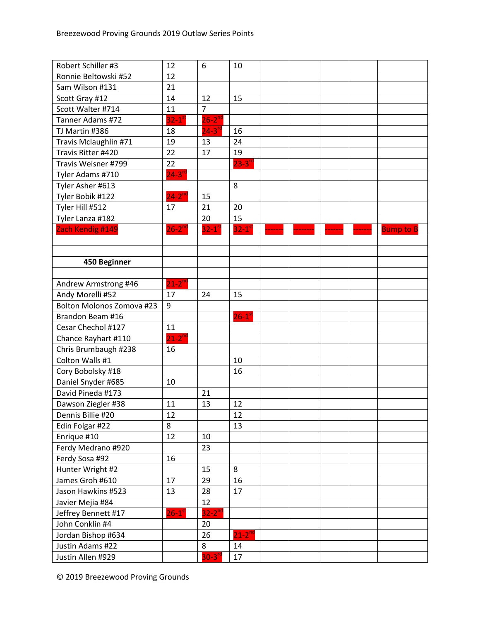| Robert Schiller #3               | 12                     | 6                    | 10                     |  |  |                  |
|----------------------------------|------------------------|----------------------|------------------------|--|--|------------------|
| Ronnie Beltowski #52             | 12                     |                      |                        |  |  |                  |
| Sam Wilson #131                  | 21                     |                      |                        |  |  |                  |
| Scott Gray #12                   | 14                     | 12                   | 15                     |  |  |                  |
| Scott Walter #714                | 11                     | $\overline{7}$       |                        |  |  |                  |
| Tanner Adams #72                 | $32-1$ <sup>st</sup>   | $26 - 2^{nc}$        |                        |  |  |                  |
| TJ Martin #386                   | 18                     | $24-3^{rd}$          | 16                     |  |  |                  |
| Travis Mclaughlin #71            | 19                     | 13                   | 24                     |  |  |                  |
| Travis Ritter #420               | 22                     | 17                   | 19                     |  |  |                  |
| Travis Weisner #799              | 22                     |                      | $23 - 3n$              |  |  |                  |
| Tyler Adams #710                 | $24 - 3$ <sup>rd</sup> |                      |                        |  |  |                  |
| Tyler Asher #613                 |                        |                      | 8                      |  |  |                  |
| Tyler Bobik #122                 | $24-2^{nd}$            | 15                   |                        |  |  |                  |
| Tyler Hill #512                  | 17                     | 21                   | 20                     |  |  |                  |
| Tyler Lanza #182                 |                        | 20                   | 15                     |  |  |                  |
| Zach Kendig #149                 | $26-2^{nd}$            | $32-1$ <sup>st</sup> | $32 - 1$ <sup>st</sup> |  |  | <b>Bump to B</b> |
|                                  |                        |                      |                        |  |  |                  |
|                                  |                        |                      |                        |  |  |                  |
| 450 Beginner                     |                        |                      |                        |  |  |                  |
|                                  |                        |                      |                        |  |  |                  |
| Andrew Armstrong #46             | $21 - 2^{nd}$          |                      |                        |  |  |                  |
| Andy Morelli #52                 | 17                     | 24                   | 15                     |  |  |                  |
| <b>Bolton Molonos Zomova #23</b> | 9                      |                      |                        |  |  |                  |
| Brandon Beam #16                 |                        |                      | $26-1$ <sup>st</sup>   |  |  |                  |
| Cesar Chechol #127               | 11                     |                      |                        |  |  |                  |
| Chance Rayhart #110              | $21-2^{nd}$            |                      |                        |  |  |                  |
| Chris Brumbaugh #238             | 16                     |                      |                        |  |  |                  |
| Colton Walls #1                  |                        |                      | 10                     |  |  |                  |
| Cory Bobolsky #18                |                        |                      | 16                     |  |  |                  |
| Daniel Snyder #685               | 10                     |                      |                        |  |  |                  |
| David Pineda #173                |                        | 21                   |                        |  |  |                  |
| Dawson Ziegler #38               | 11                     | 13                   | 12                     |  |  |                  |
| Dennis Billie #20                | 12                     |                      | 12                     |  |  |                  |
| Edin Folgar #22                  | 8                      |                      | 13                     |  |  |                  |
| Enrique #10                      | 12                     | 10                   |                        |  |  |                  |
| Ferdy Medrano #920               |                        | 23                   |                        |  |  |                  |
| Ferdy Sosa #92                   | 16                     |                      |                        |  |  |                  |
| Hunter Wright #2                 |                        | 15                   | 8                      |  |  |                  |
| James Groh #610                  | 17                     | 29                   | 16                     |  |  |                  |
| Jason Hawkins #523               | 13                     | 28                   | 17                     |  |  |                  |
| Javier Mejia #84                 |                        | 12                   |                        |  |  |                  |
| Jeffrey Bennett #17              | $26 - 1$ <sup>st</sup> | $32-2^{nd}$          |                        |  |  |                  |
| John Conklin #4                  |                        | 20                   |                        |  |  |                  |
| Jordan Bishop #634               |                        | 26                   | $21-2^{nd}$            |  |  |                  |
| Justin Adams #22                 |                        | 8                    | 14                     |  |  |                  |
| Justin Allen #929                |                        | $30 - 3^{rd}$        | 17                     |  |  |                  |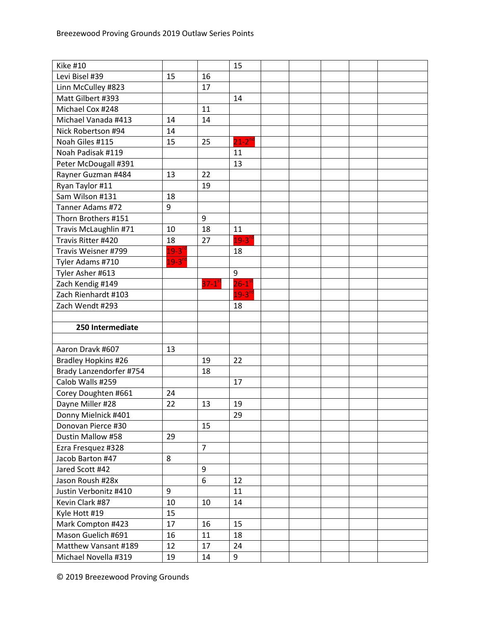| <b>Kike #10</b>                              |                      |                      | 15                   |  |  |  |
|----------------------------------------------|----------------------|----------------------|----------------------|--|--|--|
| Levi Bisel #39                               | 15                   | 16                   |                      |  |  |  |
| Linn McCulley #823                           |                      | 17                   |                      |  |  |  |
| Matt Gilbert #393                            |                      |                      | 14                   |  |  |  |
| Michael Cox #248                             |                      | 11                   |                      |  |  |  |
| Michael Vanada #413                          | 14                   | 14                   |                      |  |  |  |
| Nick Robertson #94                           | 14                   |                      |                      |  |  |  |
| Noah Giles #115                              | 15                   | 25                   | $21 - 2^{nd}$        |  |  |  |
| Noah Padisak #119                            |                      |                      | 11                   |  |  |  |
| Peter McDougall #391                         |                      |                      | 13                   |  |  |  |
| Rayner Guzman #484                           | 13                   | 22                   |                      |  |  |  |
| Ryan Taylor #11                              |                      | 19                   |                      |  |  |  |
| Sam Wilson #131                              | 18                   |                      |                      |  |  |  |
| Tanner Adams #72                             | 9                    |                      |                      |  |  |  |
| Thorn Brothers #151                          |                      | 9                    |                      |  |  |  |
| Travis McLaughlin #71                        | 10                   | 18                   | 11                   |  |  |  |
| Travis Ritter #420                           | 18                   | 27                   | $19 - 3^{rd}$        |  |  |  |
| Travis Weisner #799                          | $19-3$ <sup>rd</sup> |                      | 18                   |  |  |  |
| Tyler Adams #710                             | $19 - 3^{10}$        |                      |                      |  |  |  |
| Tyler Asher #613                             |                      |                      | 9                    |  |  |  |
| Zach Kendig #149                             |                      | $37-1$ <sup>st</sup> | $26-1$ <sup>st</sup> |  |  |  |
| Zach Rienhardt #103                          |                      |                      | $19-3$ <sup>rd</sup> |  |  |  |
| Zach Wendt #293                              |                      |                      | 18                   |  |  |  |
|                                              |                      |                      |                      |  |  |  |
|                                              |                      |                      |                      |  |  |  |
| 250 Intermediate                             |                      |                      |                      |  |  |  |
|                                              |                      |                      |                      |  |  |  |
| Aaron Dravk #607                             | 13                   |                      |                      |  |  |  |
| Bradley Hopkins #26                          |                      | 19                   | 22                   |  |  |  |
| Brady Lanzendorfer #754                      |                      | 18                   |                      |  |  |  |
| Calob Walls #259                             |                      |                      | 17                   |  |  |  |
| Corey Doughten #661                          | 24                   |                      |                      |  |  |  |
| Dayne Miller #28                             | 22                   | 13                   | 19                   |  |  |  |
| Donny Mielnick #401                          |                      |                      | 29                   |  |  |  |
| Donovan Pierce #30                           |                      | 15                   |                      |  |  |  |
| Dustin Mallow #58                            | 29                   |                      |                      |  |  |  |
| Ezra Fresquez #328                           |                      | $\overline{7}$       |                      |  |  |  |
| Jacob Barton #47                             | 8                    |                      |                      |  |  |  |
| Jared Scott #42                              |                      | 9                    |                      |  |  |  |
| Jason Roush #28x                             |                      | 6                    | 12                   |  |  |  |
| Justin Verbonitz #410                        | 9                    |                      | 11                   |  |  |  |
| Kevin Clark #87                              | 10                   | 10                   | 14                   |  |  |  |
| Kyle Hott #19                                | 15                   |                      |                      |  |  |  |
| Mark Compton #423                            | 17                   | 16                   | 15                   |  |  |  |
| Mason Guelich #691                           | 16                   | 11                   | 18                   |  |  |  |
| Matthew Vansant #189<br>Michael Novella #319 | 12<br>19             | 17                   | 24<br>9              |  |  |  |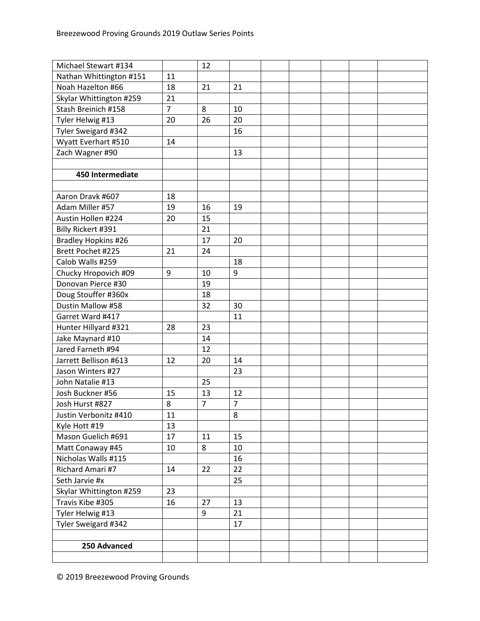| Michael Stewart #134       |                | 12             |                |  |  |  |
|----------------------------|----------------|----------------|----------------|--|--|--|
| Nathan Whittington #151    | 11             |                |                |  |  |  |
| Noah Hazelton #66          | 18             | 21             | 21             |  |  |  |
| Skylar Whittington #259    | 21             |                |                |  |  |  |
| Stash Breinich #158        | $\overline{7}$ | 8              | 10             |  |  |  |
| Tyler Helwig #13           | 20             | 26             | 20             |  |  |  |
| Tyler Sweigard #342        |                |                | 16             |  |  |  |
| Wyatt Everhart #510        | 14             |                |                |  |  |  |
| Zach Wagner #90            |                |                | 13             |  |  |  |
|                            |                |                |                |  |  |  |
| 450 Intermediate           |                |                |                |  |  |  |
|                            |                |                |                |  |  |  |
| Aaron Dravk #607           | 18             |                |                |  |  |  |
| Adam Miller #57            | 19             | 16             | 19             |  |  |  |
| Austin Hollen #224         | 20             | 15             |                |  |  |  |
| Billy Rickert #391         |                | 21             |                |  |  |  |
| <b>Bradley Hopkins #26</b> |                | 17             | 20             |  |  |  |
| Brett Pochet #225          | 21             | 24             |                |  |  |  |
| Calob Walls #259           |                |                | 18             |  |  |  |
| Chucky Hropovich #09       | 9              | 10             | 9              |  |  |  |
| Donovan Pierce #30         |                | 19             |                |  |  |  |
| Doug Stouffer #360x        |                | 18             |                |  |  |  |
| Dustin Mallow #58          |                | 32             | 30             |  |  |  |
| Garret Ward #417           |                |                | 11             |  |  |  |
| Hunter Hillyard #321       | 28             | 23             |                |  |  |  |
| Jake Maynard #10           |                | 14             |                |  |  |  |
| Jared Farneth #94          |                | 12             |                |  |  |  |
| Jarrett Bellison #613      | 12             | 20             | 14             |  |  |  |
| Jason Winters #27          |                |                | 23             |  |  |  |
| John Natalie #13           |                | 25             |                |  |  |  |
| Josh Buckner #56           | 15             | 13             | 12             |  |  |  |
| Josh Hurst #827            | 8              | $\overline{7}$ | $\overline{7}$ |  |  |  |
| Justin Verbonitz #410      | 11             |                | 8              |  |  |  |
| Kyle Hott #19              | 13             |                |                |  |  |  |
| Mason Guelich #691         | 17             | 11             | 15             |  |  |  |
| Matt Conaway #45           | 10             | 8              | 10             |  |  |  |
| Nicholas Walls #115        |                |                | 16             |  |  |  |
| Richard Amari #7           | 14             | 22             | 22             |  |  |  |
| Seth Jarvie #x             |                |                | 25             |  |  |  |
| Skylar Whittington #259    | 23             |                |                |  |  |  |
| Travis Kibe #305           | 16             | 27             | 13             |  |  |  |
| Tyler Helwig #13           |                | 9              | 21             |  |  |  |
| Tyler Sweigard #342        |                |                | 17             |  |  |  |
|                            |                |                |                |  |  |  |
| 250 Advanced               |                |                |                |  |  |  |
|                            |                |                |                |  |  |  |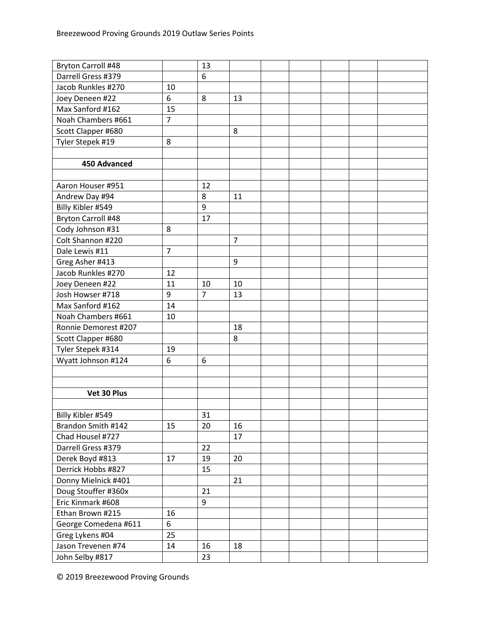| <b>Bryton Carroll #48</b> |                | 13             |                |  |  |  |
|---------------------------|----------------|----------------|----------------|--|--|--|
| Darrell Gress #379        |                | 6              |                |  |  |  |
| Jacob Runkles #270        | 10             |                |                |  |  |  |
| Joey Deneen #22           | 6              | 8              | 13             |  |  |  |
| Max Sanford #162          | 15             |                |                |  |  |  |
| Noah Chambers #661        | $\overline{7}$ |                |                |  |  |  |
| Scott Clapper #680        |                |                | 8              |  |  |  |
| Tyler Stepek #19          | 8              |                |                |  |  |  |
|                           |                |                |                |  |  |  |
| 450 Advanced              |                |                |                |  |  |  |
|                           |                |                |                |  |  |  |
| Aaron Houser #951         |                | 12             |                |  |  |  |
| Andrew Day #94            |                | 8              | 11             |  |  |  |
| Billy Kibler #549         |                | 9              |                |  |  |  |
| Bryton Carroll #48        |                | 17             |                |  |  |  |
| Cody Johnson #31          | 8              |                |                |  |  |  |
| Colt Shannon #220         |                |                | $\overline{7}$ |  |  |  |
| Dale Lewis #11            | $\overline{7}$ |                |                |  |  |  |
| Greg Asher #413           |                |                | 9              |  |  |  |
| Jacob Runkles #270        | 12             |                |                |  |  |  |
| Joey Deneen #22           | 11             | 10             | 10             |  |  |  |
| Josh Howser #718          | 9              | $\overline{7}$ | 13             |  |  |  |
| Max Sanford #162          | 14             |                |                |  |  |  |
| Noah Chambers #661        | 10             |                |                |  |  |  |
| Ronnie Demorest #207      |                |                | 18             |  |  |  |
| Scott Clapper #680        |                |                | 8              |  |  |  |
| Tyler Stepek #314         | 19             |                |                |  |  |  |
| Wyatt Johnson #124        | 6              | 6              |                |  |  |  |
|                           |                |                |                |  |  |  |
|                           |                |                |                |  |  |  |
| Vet 30 Plus               |                |                |                |  |  |  |
|                           |                |                |                |  |  |  |
| Billy Kibler #549         |                | 31             |                |  |  |  |
| Brandon Smith #142        | 15             | 20             | 16             |  |  |  |
| Chad Housel #727          |                |                | 17             |  |  |  |
| Darrell Gress #379        |                | 22             |                |  |  |  |
| Derek Boyd #813           | 17             | 19             | 20             |  |  |  |
| Derrick Hobbs #827        |                | 15             |                |  |  |  |
| Donny Mielnick #401       |                |                | 21             |  |  |  |
| Doug Stouffer #360x       |                | 21             |                |  |  |  |
| Eric Kinmark #608         |                | 9              |                |  |  |  |
| Ethan Brown #215          | 16             |                |                |  |  |  |
| George Comedena #611      | 6              |                |                |  |  |  |
| Greg Lykens #04           | 25             |                |                |  |  |  |
| Jason Trevenen #74        | 14             | 16             | 18             |  |  |  |
| John Selby #817           |                | 23             |                |  |  |  |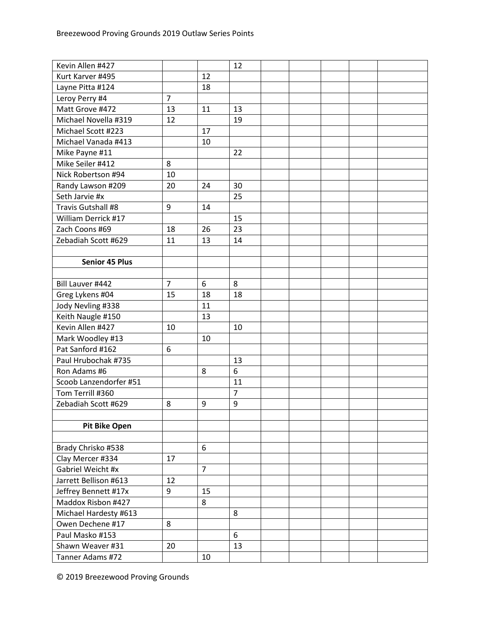| Kevin Allen #427       |                |                | 12             |  |  |  |
|------------------------|----------------|----------------|----------------|--|--|--|
| Kurt Karver #495       |                | 12             |                |  |  |  |
| Layne Pitta #124       |                | 18             |                |  |  |  |
| Leroy Perry #4         | $\overline{7}$ |                |                |  |  |  |
| Matt Grove #472        | 13             | 11             | 13             |  |  |  |
| Michael Novella #319   | 12             |                | 19             |  |  |  |
| Michael Scott #223     |                | 17             |                |  |  |  |
| Michael Vanada #413    |                | 10             |                |  |  |  |
| Mike Payne #11         |                |                | 22             |  |  |  |
| Mike Seiler #412       | 8              |                |                |  |  |  |
| Nick Robertson #94     | 10             |                |                |  |  |  |
| Randy Lawson #209      | 20             | 24             | 30             |  |  |  |
| Seth Jarvie #x         |                |                | 25             |  |  |  |
| Travis Gutshall #8     | 9              | 14             |                |  |  |  |
| William Derrick #17    |                |                | 15             |  |  |  |
| Zach Coons #69         | 18             | 26             | 23             |  |  |  |
| Zebadiah Scott #629    | 11             | 13             | 14             |  |  |  |
|                        |                |                |                |  |  |  |
| <b>Senior 45 Plus</b>  |                |                |                |  |  |  |
|                        |                |                |                |  |  |  |
| Bill Lauver #442       | $\overline{7}$ | 6              | 8              |  |  |  |
| Greg Lykens #04        | 15             | 18             | 18             |  |  |  |
| Jody Nevling #338      |                | 11             |                |  |  |  |
| Keith Naugle #150      |                | 13             |                |  |  |  |
| Kevin Allen #427       | 10             |                | 10             |  |  |  |
| Mark Woodley #13       |                | 10             |                |  |  |  |
| Pat Sanford #162       | 6              |                |                |  |  |  |
| Paul Hrubochak #735    |                |                | 13             |  |  |  |
| Ron Adams #6           |                | 8              | 6              |  |  |  |
| Scoob Lanzendorfer #51 |                |                | 11             |  |  |  |
| Tom Terrill #360       |                |                | $\overline{7}$ |  |  |  |
| Zebadiah Scott #629    | 8              | 9              | 9              |  |  |  |
|                        |                |                |                |  |  |  |
| <b>Pit Bike Open</b>   |                |                |                |  |  |  |
|                        |                |                |                |  |  |  |
| Brady Chrisko #538     |                | 6              |                |  |  |  |
| Clay Mercer #334       | 17             |                |                |  |  |  |
| Gabriel Weicht #x      |                | $\overline{7}$ |                |  |  |  |
| Jarrett Bellison #613  | 12             |                |                |  |  |  |
| Jeffrey Bennett #17x   | 9              | 15             |                |  |  |  |
| Maddox Risbon #427     |                | 8              |                |  |  |  |
| Michael Hardesty #613  |                |                | 8              |  |  |  |
| Owen Dechene #17       | 8              |                |                |  |  |  |
| Paul Masko #153        |                |                | 6              |  |  |  |
| Shawn Weaver #31       | 20             |                | 13             |  |  |  |
| Tanner Adams #72       |                | 10             |                |  |  |  |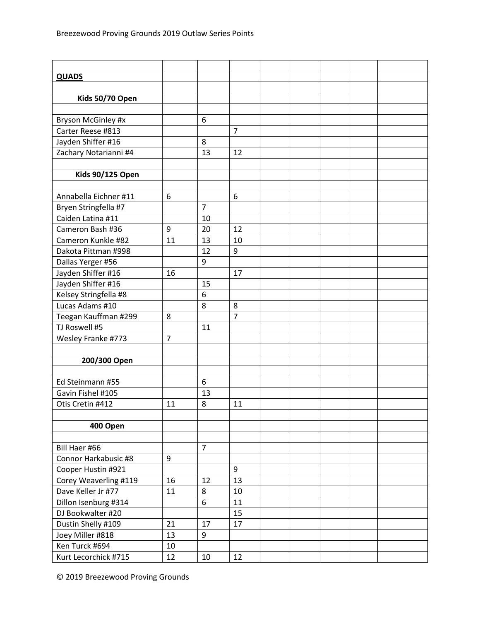| <b>QUADS</b>            |    |                |                |  |  |  |
|-------------------------|----|----------------|----------------|--|--|--|
|                         |    |                |                |  |  |  |
| Kids 50/70 Open         |    |                |                |  |  |  |
|                         |    |                |                |  |  |  |
| Bryson McGinley #x      |    | 6              |                |  |  |  |
| Carter Reese #813       |    |                | $\overline{7}$ |  |  |  |
| Jayden Shiffer #16      |    | 8              |                |  |  |  |
| Zachary Notarianni #4   |    | 13             | 12             |  |  |  |
|                         |    |                |                |  |  |  |
| <b>Kids 90/125 Open</b> |    |                |                |  |  |  |
|                         |    |                |                |  |  |  |
| Annabella Eichner #11   | 6  |                | 6              |  |  |  |
| Bryen Stringfella #7    |    | $\overline{7}$ |                |  |  |  |
| Caiden Latina #11       |    | 10             |                |  |  |  |
| Cameron Bash #36        | 9  | 20             | 12             |  |  |  |
| Cameron Kunkle #82      | 11 | 13             | 10             |  |  |  |
| Dakota Pittman #998     |    | 12             | 9              |  |  |  |
| Dallas Yerger #56       |    | 9              |                |  |  |  |
| Jayden Shiffer #16      | 16 |                | 17             |  |  |  |
| Jayden Shiffer #16      |    | 15             |                |  |  |  |
| Kelsey Stringfella #8   |    | 6              |                |  |  |  |
| Lucas Adams #10         |    | 8              | 8              |  |  |  |
| Teegan Kauffman #299    | 8  |                | $\overline{7}$ |  |  |  |
| TJ Roswell #5           |    | 11             |                |  |  |  |
| Wesley Franke #773      | 7  |                |                |  |  |  |
|                         |    |                |                |  |  |  |
| 200/300 Open            |    |                |                |  |  |  |
|                         |    |                |                |  |  |  |
| Ed Steinmann #55        |    | 6              |                |  |  |  |
| Gavin Fishel #105       |    | 13             |                |  |  |  |
| Otis Cretin #412        | 11 | 8              | 11             |  |  |  |
|                         |    |                |                |  |  |  |
| 400 Open                |    |                |                |  |  |  |
|                         |    |                |                |  |  |  |
| Bill Haer #66           |    | $\overline{7}$ |                |  |  |  |
| Connor Harkabusic #8    | 9  |                |                |  |  |  |
| Cooper Hustin #921      |    |                | 9              |  |  |  |
| Corey Weaverling #119   | 16 | 12             | 13             |  |  |  |
| Dave Keller Jr #77      | 11 | 8              | 10             |  |  |  |
| Dillon Isenburg #314    |    | 6              | 11             |  |  |  |
| DJ Bookwalter #20       |    |                | 15             |  |  |  |
| Dustin Shelly #109      | 21 | 17             | 17             |  |  |  |
| Joey Miller #818        | 13 | 9              |                |  |  |  |
| Ken Turck #694          | 10 |                |                |  |  |  |
| Kurt Lecorchick #715    | 12 | 10             | 12             |  |  |  |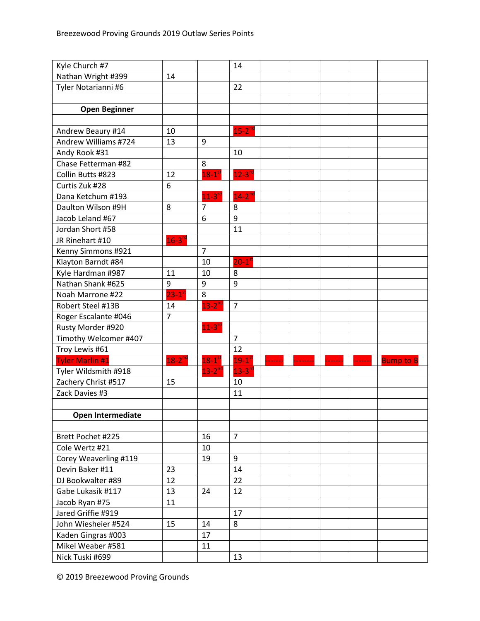| Kyle Church #7         |                |                      | 14                   |  |  |                  |
|------------------------|----------------|----------------------|----------------------|--|--|------------------|
| Nathan Wright #399     | 14             |                      |                      |  |  |                  |
| Tyler Notarianni #6    |                |                      | 22                   |  |  |                  |
|                        |                |                      |                      |  |  |                  |
| <b>Open Beginner</b>   |                |                      |                      |  |  |                  |
|                        |                |                      |                      |  |  |                  |
| Andrew Beaury #14      | 10             |                      | $15-2^{nd}$          |  |  |                  |
| Andrew Williams #724   | 13             | 9                    |                      |  |  |                  |
| Andy Rook #31          |                |                      | 10                   |  |  |                  |
| Chase Fetterman #82    |                | 8                    |                      |  |  |                  |
| Collin Butts #823      | 12             | $18-1$ <sup>st</sup> | $12 - 3^{rd}$        |  |  |                  |
| Curtis Zuk #28         | 6              |                      |                      |  |  |                  |
| Dana Ketchum #193      |                | $11-3$ <sup>rd</sup> | $14-2^{nd}$          |  |  |                  |
| Daulton Wilson #9H     | 8              | $7\overline{ }$      | 8                    |  |  |                  |
| Jacob Leland #67       |                | 6                    | 9                    |  |  |                  |
| Jordan Short #58       |                |                      | 11                   |  |  |                  |
| JR Rinehart #10        | $16 - 3^{rd}$  |                      |                      |  |  |                  |
| Kenny Simmons #921     |                | $\overline{7}$       |                      |  |  |                  |
| Klayton Barndt #84     |                | 10                   | $20-1$ <sup>s</sup>  |  |  |                  |
| Kyle Hardman #987      | 11             | 10                   | 8                    |  |  |                  |
| Nathan Shank #625      | 9              | 9                    | 9                    |  |  |                  |
| Noah Marrone #22       | $23-1$ st      | 8                    |                      |  |  |                  |
| Robert Steel #13B      | 14             | $13-2^{nd}$          | $\overline{7}$       |  |  |                  |
| Roger Escalante #046   | $\overline{7}$ |                      |                      |  |  |                  |
| Rusty Morder #920      |                | $11 - 3^{rd}$        |                      |  |  |                  |
| Timothy Welcomer #407  |                |                      | $\overline{7}$       |  |  |                  |
| Troy Lewis #61         |                |                      | 12                   |  |  |                  |
| <b>Tyler Marlin #1</b> | $18-2^{nd}$    | $18-1$ <sup>st</sup> | $19-1$ <sup>s'</sup> |  |  | <b>Bump to B</b> |
| Tyler Wildsmith #918   |                | $13 - 2^{nc}$        | $13 - 3n$            |  |  |                  |
| Zachery Christ #517    | 15             |                      | 10                   |  |  |                  |
| Zack Davies #3         |                |                      | 11                   |  |  |                  |
|                        |                |                      |                      |  |  |                  |
| Open Intermediate      |                |                      |                      |  |  |                  |
|                        |                |                      |                      |  |  |                  |
| Brett Pochet #225      |                | 16                   | $\overline{7}$       |  |  |                  |
| Cole Wertz #21         |                | 10                   |                      |  |  |                  |
| Corey Weaverling #119  |                | 19                   | 9                    |  |  |                  |
| Devin Baker #11        | 23             |                      | 14                   |  |  |                  |
| DJ Bookwalter #89      | 12             |                      | 22                   |  |  |                  |
| Gabe Lukasik #117      | 13             | 24                   | 12                   |  |  |                  |
| Jacob Ryan #75         | 11             |                      |                      |  |  |                  |
| Jared Griffie #919     |                |                      | 17                   |  |  |                  |
| John Wiesheier #524    | 15             | 14                   | 8                    |  |  |                  |
| Kaden Gingras #003     |                | 17                   |                      |  |  |                  |
| Mikel Weaber #581      |                | 11                   |                      |  |  |                  |
| Nick Tuski #699        |                |                      | 13                   |  |  |                  |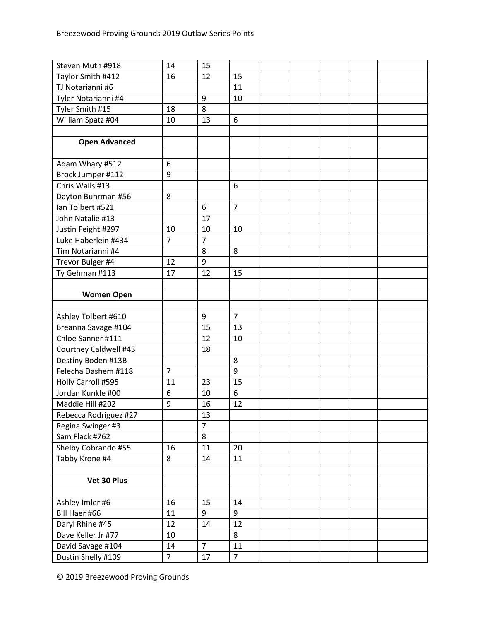| Taylor Smith #412<br>12<br>16<br>15<br>TJ Notarianni #6<br>11<br>9<br>Tyler Notarianni #4<br>10<br>Tyler Smith #15<br>18<br>8<br>6<br>William Spatz #04<br>10<br>13<br><b>Open Advanced</b><br>Adam Whary #512<br>6<br>9<br>Brock Jumper #112<br>Chris Walls #13<br>6<br>8<br>Dayton Buhrman #56<br>Ian Tolbert #521<br>$\overline{7}$<br>6<br>John Natalie #13<br>17<br>Justin Feight #297<br>10<br>10<br>10<br>Luke Haberlein #434<br>$\overline{7}$<br>$\overline{7}$<br>Tim Notarianni #4<br>8<br>8<br>9<br>Trevor Bulger #4<br>12<br>Ty Gehman #113<br>17<br>12<br>15<br><b>Women Open</b><br>$\overline{7}$<br>Ashley Tolbert #610<br>9<br>15<br>13<br>Breanna Savage #104<br>Chloe Sanner #111<br>12<br>10<br>Courtney Caldwell #43<br>18<br>Destiny Boden #13B<br>8<br>$\overline{7}$<br>Felecha Dashem #118<br>9<br>Holly Carroll #595<br>23<br>15<br>11<br>6<br>Jordan Kunkle #00<br>6<br>10<br>Maddie Hill #202<br>9<br>12<br>16<br>Rebecca Rodriguez #27<br>13<br>$\overline{7}$<br>Regina Swinger #3<br>Sam Flack #762<br>8<br>Shelby Cobrando #55<br>16<br>11<br>20<br>Tabby Krone #4<br>8<br>14<br>11<br>Vet 30 Plus<br>Ashley Imler #6<br>16<br>15<br>14<br>Bill Haer #66<br>11<br>9<br>9<br>Daryl Rhine #45<br>12<br>12<br>14<br>Dave Keller Jr #77<br>10<br>8<br>David Savage #104<br>14<br>$\overline{7}$<br>11<br>$\overline{7}$<br>Dustin Shelly #109<br>$\overline{7}$<br>17 | Steven Muth #918 | 14 | 15 |  |  |  |
|----------------------------------------------------------------------------------------------------------------------------------------------------------------------------------------------------------------------------------------------------------------------------------------------------------------------------------------------------------------------------------------------------------------------------------------------------------------------------------------------------------------------------------------------------------------------------------------------------------------------------------------------------------------------------------------------------------------------------------------------------------------------------------------------------------------------------------------------------------------------------------------------------------------------------------------------------------------------------------------------------------------------------------------------------------------------------------------------------------------------------------------------------------------------------------------------------------------------------------------------------------------------------------------------------------------------------------------------------------------------------------------------------|------------------|----|----|--|--|--|
|                                                                                                                                                                                                                                                                                                                                                                                                                                                                                                                                                                                                                                                                                                                                                                                                                                                                                                                                                                                                                                                                                                                                                                                                                                                                                                                                                                                                    |                  |    |    |  |  |  |
|                                                                                                                                                                                                                                                                                                                                                                                                                                                                                                                                                                                                                                                                                                                                                                                                                                                                                                                                                                                                                                                                                                                                                                                                                                                                                                                                                                                                    |                  |    |    |  |  |  |
|                                                                                                                                                                                                                                                                                                                                                                                                                                                                                                                                                                                                                                                                                                                                                                                                                                                                                                                                                                                                                                                                                                                                                                                                                                                                                                                                                                                                    |                  |    |    |  |  |  |
|                                                                                                                                                                                                                                                                                                                                                                                                                                                                                                                                                                                                                                                                                                                                                                                                                                                                                                                                                                                                                                                                                                                                                                                                                                                                                                                                                                                                    |                  |    |    |  |  |  |
|                                                                                                                                                                                                                                                                                                                                                                                                                                                                                                                                                                                                                                                                                                                                                                                                                                                                                                                                                                                                                                                                                                                                                                                                                                                                                                                                                                                                    |                  |    |    |  |  |  |
|                                                                                                                                                                                                                                                                                                                                                                                                                                                                                                                                                                                                                                                                                                                                                                                                                                                                                                                                                                                                                                                                                                                                                                                                                                                                                                                                                                                                    |                  |    |    |  |  |  |
|                                                                                                                                                                                                                                                                                                                                                                                                                                                                                                                                                                                                                                                                                                                                                                                                                                                                                                                                                                                                                                                                                                                                                                                                                                                                                                                                                                                                    |                  |    |    |  |  |  |
|                                                                                                                                                                                                                                                                                                                                                                                                                                                                                                                                                                                                                                                                                                                                                                                                                                                                                                                                                                                                                                                                                                                                                                                                                                                                                                                                                                                                    |                  |    |    |  |  |  |
|                                                                                                                                                                                                                                                                                                                                                                                                                                                                                                                                                                                                                                                                                                                                                                                                                                                                                                                                                                                                                                                                                                                                                                                                                                                                                                                                                                                                    |                  |    |    |  |  |  |
|                                                                                                                                                                                                                                                                                                                                                                                                                                                                                                                                                                                                                                                                                                                                                                                                                                                                                                                                                                                                                                                                                                                                                                                                                                                                                                                                                                                                    |                  |    |    |  |  |  |
|                                                                                                                                                                                                                                                                                                                                                                                                                                                                                                                                                                                                                                                                                                                                                                                                                                                                                                                                                                                                                                                                                                                                                                                                                                                                                                                                                                                                    |                  |    |    |  |  |  |
|                                                                                                                                                                                                                                                                                                                                                                                                                                                                                                                                                                                                                                                                                                                                                                                                                                                                                                                                                                                                                                                                                                                                                                                                                                                                                                                                                                                                    |                  |    |    |  |  |  |
|                                                                                                                                                                                                                                                                                                                                                                                                                                                                                                                                                                                                                                                                                                                                                                                                                                                                                                                                                                                                                                                                                                                                                                                                                                                                                                                                                                                                    |                  |    |    |  |  |  |
|                                                                                                                                                                                                                                                                                                                                                                                                                                                                                                                                                                                                                                                                                                                                                                                                                                                                                                                                                                                                                                                                                                                                                                                                                                                                                                                                                                                                    |                  |    |    |  |  |  |
|                                                                                                                                                                                                                                                                                                                                                                                                                                                                                                                                                                                                                                                                                                                                                                                                                                                                                                                                                                                                                                                                                                                                                                                                                                                                                                                                                                                                    |                  |    |    |  |  |  |
|                                                                                                                                                                                                                                                                                                                                                                                                                                                                                                                                                                                                                                                                                                                                                                                                                                                                                                                                                                                                                                                                                                                                                                                                                                                                                                                                                                                                    |                  |    |    |  |  |  |
|                                                                                                                                                                                                                                                                                                                                                                                                                                                                                                                                                                                                                                                                                                                                                                                                                                                                                                                                                                                                                                                                                                                                                                                                                                                                                                                                                                                                    |                  |    |    |  |  |  |
|                                                                                                                                                                                                                                                                                                                                                                                                                                                                                                                                                                                                                                                                                                                                                                                                                                                                                                                                                                                                                                                                                                                                                                                                                                                                                                                                                                                                    |                  |    |    |  |  |  |
|                                                                                                                                                                                                                                                                                                                                                                                                                                                                                                                                                                                                                                                                                                                                                                                                                                                                                                                                                                                                                                                                                                                                                                                                                                                                                                                                                                                                    |                  |    |    |  |  |  |
|                                                                                                                                                                                                                                                                                                                                                                                                                                                                                                                                                                                                                                                                                                                                                                                                                                                                                                                                                                                                                                                                                                                                                                                                                                                                                                                                                                                                    |                  |    |    |  |  |  |
|                                                                                                                                                                                                                                                                                                                                                                                                                                                                                                                                                                                                                                                                                                                                                                                                                                                                                                                                                                                                                                                                                                                                                                                                                                                                                                                                                                                                    |                  |    |    |  |  |  |
|                                                                                                                                                                                                                                                                                                                                                                                                                                                                                                                                                                                                                                                                                                                                                                                                                                                                                                                                                                                                                                                                                                                                                                                                                                                                                                                                                                                                    |                  |    |    |  |  |  |
|                                                                                                                                                                                                                                                                                                                                                                                                                                                                                                                                                                                                                                                                                                                                                                                                                                                                                                                                                                                                                                                                                                                                                                                                                                                                                                                                                                                                    |                  |    |    |  |  |  |
|                                                                                                                                                                                                                                                                                                                                                                                                                                                                                                                                                                                                                                                                                                                                                                                                                                                                                                                                                                                                                                                                                                                                                                                                                                                                                                                                                                                                    |                  |    |    |  |  |  |
|                                                                                                                                                                                                                                                                                                                                                                                                                                                                                                                                                                                                                                                                                                                                                                                                                                                                                                                                                                                                                                                                                                                                                                                                                                                                                                                                                                                                    |                  |    |    |  |  |  |
|                                                                                                                                                                                                                                                                                                                                                                                                                                                                                                                                                                                                                                                                                                                                                                                                                                                                                                                                                                                                                                                                                                                                                                                                                                                                                                                                                                                                    |                  |    |    |  |  |  |
|                                                                                                                                                                                                                                                                                                                                                                                                                                                                                                                                                                                                                                                                                                                                                                                                                                                                                                                                                                                                                                                                                                                                                                                                                                                                                                                                                                                                    |                  |    |    |  |  |  |
|                                                                                                                                                                                                                                                                                                                                                                                                                                                                                                                                                                                                                                                                                                                                                                                                                                                                                                                                                                                                                                                                                                                                                                                                                                                                                                                                                                                                    |                  |    |    |  |  |  |
|                                                                                                                                                                                                                                                                                                                                                                                                                                                                                                                                                                                                                                                                                                                                                                                                                                                                                                                                                                                                                                                                                                                                                                                                                                                                                                                                                                                                    |                  |    |    |  |  |  |
|                                                                                                                                                                                                                                                                                                                                                                                                                                                                                                                                                                                                                                                                                                                                                                                                                                                                                                                                                                                                                                                                                                                                                                                                                                                                                                                                                                                                    |                  |    |    |  |  |  |
|                                                                                                                                                                                                                                                                                                                                                                                                                                                                                                                                                                                                                                                                                                                                                                                                                                                                                                                                                                                                                                                                                                                                                                                                                                                                                                                                                                                                    |                  |    |    |  |  |  |
|                                                                                                                                                                                                                                                                                                                                                                                                                                                                                                                                                                                                                                                                                                                                                                                                                                                                                                                                                                                                                                                                                                                                                                                                                                                                                                                                                                                                    |                  |    |    |  |  |  |
|                                                                                                                                                                                                                                                                                                                                                                                                                                                                                                                                                                                                                                                                                                                                                                                                                                                                                                                                                                                                                                                                                                                                                                                                                                                                                                                                                                                                    |                  |    |    |  |  |  |
|                                                                                                                                                                                                                                                                                                                                                                                                                                                                                                                                                                                                                                                                                                                                                                                                                                                                                                                                                                                                                                                                                                                                                                                                                                                                                                                                                                                                    |                  |    |    |  |  |  |
|                                                                                                                                                                                                                                                                                                                                                                                                                                                                                                                                                                                                                                                                                                                                                                                                                                                                                                                                                                                                                                                                                                                                                                                                                                                                                                                                                                                                    |                  |    |    |  |  |  |
|                                                                                                                                                                                                                                                                                                                                                                                                                                                                                                                                                                                                                                                                                                                                                                                                                                                                                                                                                                                                                                                                                                                                                                                                                                                                                                                                                                                                    |                  |    |    |  |  |  |
|                                                                                                                                                                                                                                                                                                                                                                                                                                                                                                                                                                                                                                                                                                                                                                                                                                                                                                                                                                                                                                                                                                                                                                                                                                                                                                                                                                                                    |                  |    |    |  |  |  |
|                                                                                                                                                                                                                                                                                                                                                                                                                                                                                                                                                                                                                                                                                                                                                                                                                                                                                                                                                                                                                                                                                                                                                                                                                                                                                                                                                                                                    |                  |    |    |  |  |  |
|                                                                                                                                                                                                                                                                                                                                                                                                                                                                                                                                                                                                                                                                                                                                                                                                                                                                                                                                                                                                                                                                                                                                                                                                                                                                                                                                                                                                    |                  |    |    |  |  |  |
|                                                                                                                                                                                                                                                                                                                                                                                                                                                                                                                                                                                                                                                                                                                                                                                                                                                                                                                                                                                                                                                                                                                                                                                                                                                                                                                                                                                                    |                  |    |    |  |  |  |
|                                                                                                                                                                                                                                                                                                                                                                                                                                                                                                                                                                                                                                                                                                                                                                                                                                                                                                                                                                                                                                                                                                                                                                                                                                                                                                                                                                                                    |                  |    |    |  |  |  |
|                                                                                                                                                                                                                                                                                                                                                                                                                                                                                                                                                                                                                                                                                                                                                                                                                                                                                                                                                                                                                                                                                                                                                                                                                                                                                                                                                                                                    |                  |    |    |  |  |  |
|                                                                                                                                                                                                                                                                                                                                                                                                                                                                                                                                                                                                                                                                                                                                                                                                                                                                                                                                                                                                                                                                                                                                                                                                                                                                                                                                                                                                    |                  |    |    |  |  |  |
|                                                                                                                                                                                                                                                                                                                                                                                                                                                                                                                                                                                                                                                                                                                                                                                                                                                                                                                                                                                                                                                                                                                                                                                                                                                                                                                                                                                                    |                  |    |    |  |  |  |
|                                                                                                                                                                                                                                                                                                                                                                                                                                                                                                                                                                                                                                                                                                                                                                                                                                                                                                                                                                                                                                                                                                                                                                                                                                                                                                                                                                                                    |                  |    |    |  |  |  |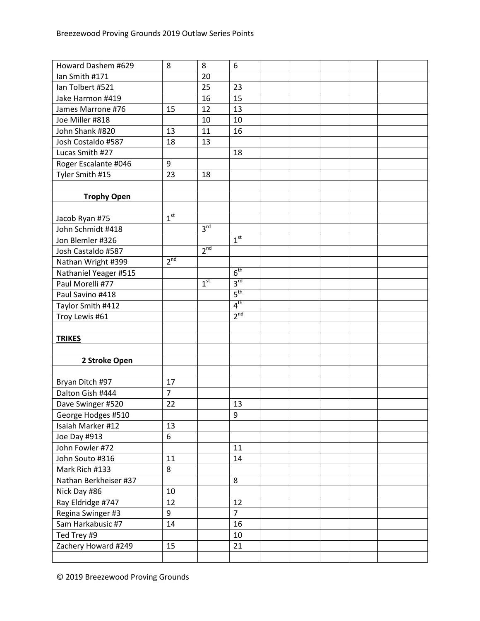| Howard Dashem #629    | 8               | 8               | 6               |  |  |  |
|-----------------------|-----------------|-----------------|-----------------|--|--|--|
| Ian Smith #171        |                 | 20              |                 |  |  |  |
| Ian Tolbert #521      |                 | 25              | 23              |  |  |  |
| Jake Harmon #419      |                 | 16              | 15              |  |  |  |
| James Marrone #76     | 15              | 12              | 13              |  |  |  |
| Joe Miller #818       |                 | 10              | 10              |  |  |  |
| John Shank #820       | 13              | 11              | 16              |  |  |  |
| Josh Costaldo #587    | 18              | 13              |                 |  |  |  |
| Lucas Smith #27       |                 |                 | 18              |  |  |  |
| Roger Escalante #046  | 9               |                 |                 |  |  |  |
| Tyler Smith #15       | 23              | 18              |                 |  |  |  |
|                       |                 |                 |                 |  |  |  |
| <b>Trophy Open</b>    |                 |                 |                 |  |  |  |
|                       |                 |                 |                 |  |  |  |
| Jacob Ryan #75        | 1 <sup>st</sup> |                 |                 |  |  |  |
| John Schmidt #418     |                 | 3 <sup>rd</sup> |                 |  |  |  |
| Jon Blemler #326      |                 |                 | 1 <sup>st</sup> |  |  |  |
| Josh Castaldo #587    |                 | $2^{nd}$        |                 |  |  |  |
| Nathan Wright #399    | 2 <sup>nd</sup> |                 |                 |  |  |  |
| Nathaniel Yeager #515 |                 |                 | 6 <sup>th</sup> |  |  |  |
| Paul Morelli #77      |                 | 1 <sup>st</sup> | 3 <sup>rd</sup> |  |  |  |
| Paul Savino #418      |                 |                 | 5 <sup>th</sup> |  |  |  |
| Taylor Smith #412     |                 |                 | 4 <sup>th</sup> |  |  |  |
| Troy Lewis #61        |                 |                 | 2 <sup>nd</sup> |  |  |  |
|                       |                 |                 |                 |  |  |  |
| <b>TRIKES</b>         |                 |                 |                 |  |  |  |
|                       |                 |                 |                 |  |  |  |
| 2 Stroke Open         |                 |                 |                 |  |  |  |
|                       |                 |                 |                 |  |  |  |
| Bryan Ditch #97       | 17              |                 |                 |  |  |  |
| Dalton Gish #444      | $\overline{7}$  |                 |                 |  |  |  |
| Dave Swinger #520     | 22              |                 | 13              |  |  |  |
| George Hodges #510    |                 |                 | $9\,$           |  |  |  |
| Isaiah Marker #12     | 13              |                 |                 |  |  |  |
| Joe Day #913          | 6               |                 |                 |  |  |  |
| John Fowler #72       |                 |                 | 11              |  |  |  |
| John Souto #316       | 11              |                 | 14              |  |  |  |
| Mark Rich #133        | 8               |                 |                 |  |  |  |
| Nathan Berkheiser #37 |                 |                 | 8               |  |  |  |
| Nick Day #86          | 10              |                 |                 |  |  |  |
| Ray Eldridge #747     | 12              |                 | 12              |  |  |  |
| Regina Swinger #3     | 9               |                 | $\overline{7}$  |  |  |  |
| Sam Harkabusic #7     |                 |                 |                 |  |  |  |
|                       | 14              |                 | 16              |  |  |  |
| Ted Trey #9           |                 |                 | 10              |  |  |  |
| Zachery Howard #249   | 15              |                 | 21              |  |  |  |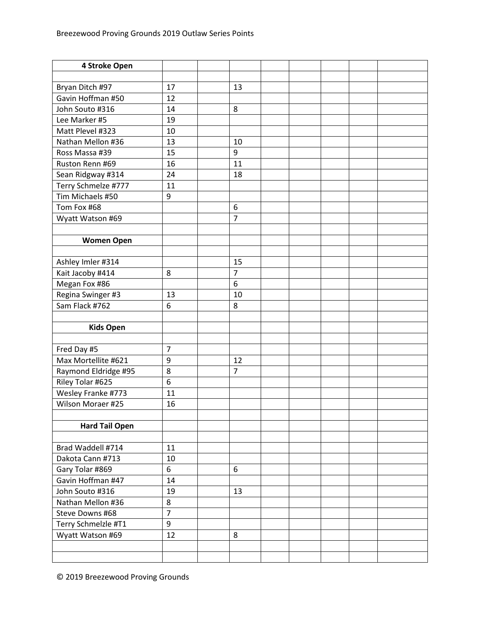| 4 Stroke Open         |                |                |  |  |
|-----------------------|----------------|----------------|--|--|
|                       |                |                |  |  |
| Bryan Ditch #97       | 17             | 13             |  |  |
| Gavin Hoffman #50     | 12             |                |  |  |
| John Souto #316       | 14             | 8              |  |  |
| Lee Marker #5         | 19             |                |  |  |
| Matt Plevel #323      | 10             |                |  |  |
| Nathan Mellon #36     | 13             | 10             |  |  |
| Ross Massa #39        | 15             | 9              |  |  |
| Ruston Renn #69       | 16             | 11             |  |  |
| Sean Ridgway #314     | 24             | 18             |  |  |
| Terry Schmelze #777   | 11             |                |  |  |
| Tim Michaels #50      | 9              |                |  |  |
| Tom Fox #68           |                | 6              |  |  |
| Wyatt Watson #69      |                | $\overline{7}$ |  |  |
|                       |                |                |  |  |
| <b>Women Open</b>     |                |                |  |  |
|                       |                |                |  |  |
| Ashley Imler #314     |                | 15             |  |  |
| Kait Jacoby #414      | 8              | $\overline{7}$ |  |  |
| Megan Fox #86         |                | 6              |  |  |
| Regina Swinger #3     | 13             | 10             |  |  |
| Sam Flack #762        | 6              | 8              |  |  |
|                       |                |                |  |  |
| <b>Kids Open</b>      |                |                |  |  |
|                       |                |                |  |  |
| Fred Day #5           | $\overline{7}$ |                |  |  |
| Max Mortellite #621   | 9              | 12             |  |  |
| Raymond Eldridge #95  | 8              | $\overline{7}$ |  |  |
| Riley Tolar #625      | 6              |                |  |  |
| Wesley Franke #773    | 11             |                |  |  |
| Wilson Moraer #25     | 16             |                |  |  |
|                       |                |                |  |  |
| <b>Hard Tail Open</b> |                |                |  |  |
|                       |                |                |  |  |
| Brad Waddell #714     | 11             |                |  |  |
| Dakota Cann #713      | 10             |                |  |  |
| Gary Tolar #869       | 6              | 6              |  |  |
| Gavin Hoffman #47     | 14             |                |  |  |
| John Souto #316       | 19             | 13             |  |  |
| Nathan Mellon #36     | 8              |                |  |  |
| Steve Downs #68       | $\overline{7}$ |                |  |  |
| Terry Schmelzle #T1   | 9              |                |  |  |
| Wyatt Watson #69      | 12             | 8              |  |  |
|                       |                |                |  |  |
|                       |                |                |  |  |